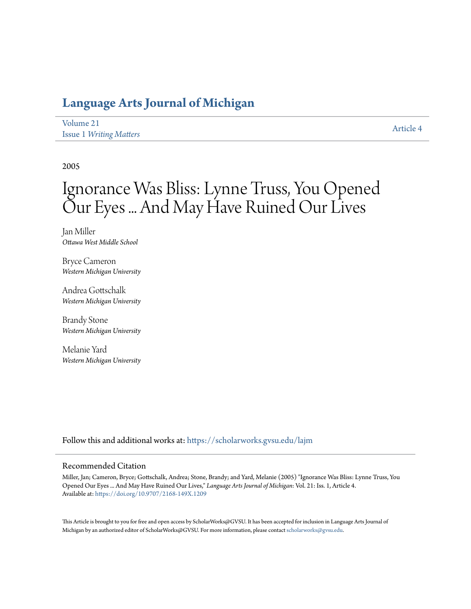# **[Language Arts Journal of Michigan](https://scholarworks.gvsu.edu/lajm?utm_source=scholarworks.gvsu.edu%2Flajm%2Fvol21%2Fiss1%2F4&utm_medium=PDF&utm_campaign=PDFCoverPages)**

| Volume 21 |                                |
|-----------|--------------------------------|
|           | <b>Issue 1 Writing Matters</b> |

[Article 4](https://scholarworks.gvsu.edu/lajm/vol21/iss1/4?utm_source=scholarworks.gvsu.edu%2Flajm%2Fvol21%2Fiss1%2F4&utm_medium=PDF&utm_campaign=PDFCoverPages)

2005

# Ignorance Was Bliss: Lynne Truss, You Opened Our Eyes ... And May Have Ruined Our Lives

Jan Miller *Ottawa West Middle School*

Bryce Cameron *Western Michigan University*

Andrea Gottschalk *Western Michigan University*

Brandy Stone *Western Michigan University*

Melanie Yard *Western Michigan University*

Follow this and additional works at: [https://scholarworks.gvsu.edu/lajm](https://scholarworks.gvsu.edu/lajm?utm_source=scholarworks.gvsu.edu%2Flajm%2Fvol21%2Fiss1%2F4&utm_medium=PDF&utm_campaign=PDFCoverPages)

### Recommended Citation

Miller, Jan; Cameron, Bryce; Gottschalk, Andrea; Stone, Brandy; and Yard, Melanie (2005) "Ignorance Was Bliss: Lynne Truss, You Opened Our Eyes ... And May Have Ruined Our Lives," *Language Arts Journal of Michigan*: Vol. 21: Iss. 1, Article 4. Available at: <https://doi.org/10.9707/2168-149X.1209>

This Article is brought to you for free and open access by ScholarWorks@GVSU. It has been accepted for inclusion in Language Arts Journal of Michigan by an authorized editor of ScholarWorks@GVSU. For more information, please contact [scholarworks@gvsu.edu.](mailto:scholarworks@gvsu.edu)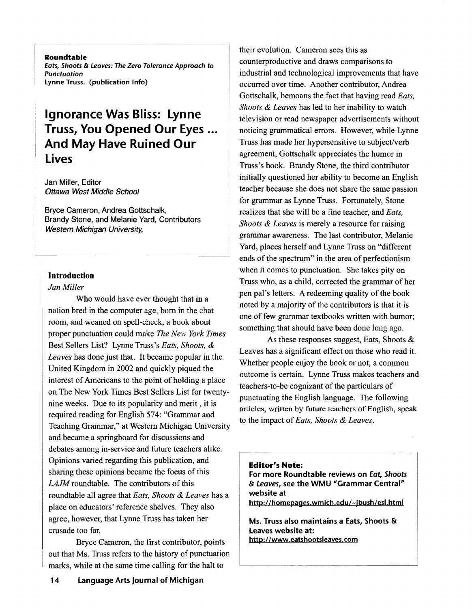Roundtable Eats, Shoots & Leaves: The Zero Tolerance Approach to Punctuation lynne Truss. (publication Info)

# Ignorance Was Bliss: lynne Truss, You Opened Our Eyes ... And May Have Ruined Our lives

Jan Miller, Editor Ottawa West Middle School

Bryce Cameron, Andrea Gottschalk, Brandy Stone, and Melanie Yard, Contributors Western Michigan University,

# Introduction

### *Jan Miller*

Who would have ever thought that in a nation bred in the computer age, born in the chat room, and weaned on spell-check, a book about proper punctuation could make *The New York Times*  Best Sellers List? Lynne Truss's *Eats, Shoots,* & *Leaves* has done just that. It became popular in the United Kingdom in 2002 and quickly piqued the interest of Americans to the point of holding a place on The New York Times Best Sellers List for twentynine weeks. Due to its popularity and merit, it is required reading for English 574: "Grammar and Teaching Grammar," at Western Michigan University and became a springboard for discussions and debates among in-service and future teachers alike. Opinions varied regarding this publication, and sharing these opinions became the focus of this *LAJM* roundtable. The contributors of this roundtable all agree that *Eats, Shoots* & *Leaves* has a place on educators' reference shelves. They also agree, however, that Lynne Truss has taken her crusade too far.

Bryce Cameron, the first contributor, points out that Ms. Truss refers to the history of punctuation marks, while at the same time calling for the halt to

their evolution. Cameron sees this as counterproductive and draws comparisons to industrial and technological improvements that have occurred over time. Another contributor, Andrea Gottschalk, bemoans the fact that having read *Eats, Shoots* & *Leaves* has led to her inability to watch television or read newspaper advertisements without noticing grammatical errors. However, while Lynne Truss has made her hypersensitive to subject/verb agreement, Gottschalk appreciates the humor in Truss's book. Brandy Stone, the third contributor initially questioned her ability to become an English teacher because she does not share the same passion for grammar as Lynne Truss. Fortunately, Stone realizes that she will be a fine teacher, and *Eats, Shoots* & *Leaves* is merely a resource for raising grammar awareness. The last contributor, Melanie Yard, places herself and Lynne Truss on "different ends of the spectrum" in the area of perfectionism when it comes to punctuation. She takes pity on Truss who, as a child, corrected the grammar of her pen pal's letters. A redeeming quality of the book noted by a majority of the contributors is that it is one of few grammar textbooks written with humor; something that should have been done long ago.

As these responses suggest, Eats, Shoots & Leaves has a significant effect on those who read it. Whether people enjoy the book or not, a common outcome is certain. Lynne Truss makes teachers and teachers-to-be cognizant of the particulars of punctuating the English language. The following articles, written by future teachers of English, speak to the impact of*Eats, Shoots* & *Leaves.* 

#### Editor's Note:

For more Roundtable reviews on Eat, *Shoots*  & Leaves, see the WMU "Grammar Central" website at

http://homepages.wmich.edu/~jbush/esl.html

Ms. Truss also maintains a Eats, Shoots &: Leaves website at: http://www.eatshootsleaves.com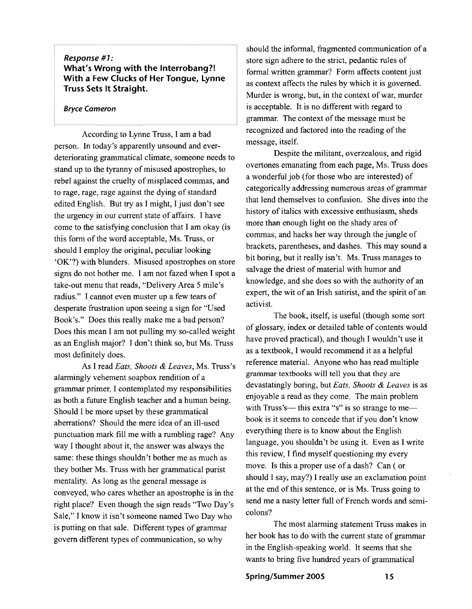# *Response* **#1: What's Wrong with the Interrobang?! With a Few Clucks of Her Tongue, Lynne Truss Sets It Straight.**

#### **Bryce Cameron**

According to Lynne Truss, I am a bad person. In today's apparently unsound and everdeteriorating grammatical climate, someone needs to stand up to the tyranny of misused apostrophes, to rebel against the cruelty of misplaced commas, and to rage, rage, rage against the dying of standard edited English. But try as I might, I just don't see the urgency in our current state of affairs. I have come to the satisfying conclusion that I am okay (is this form of the word acceptable, Ms. Truss, or should I employ the original, peculiar looking 'OK'?) with blunders. Misused apostrophes on store signs do not bother me. I am not fazed when I spot a take-out menu that reads, "Delivery Area 5 mile's radius." I cannot even muster up a few tears of desperate frustration upon seeing a sign for "Used Book's." Does this really make me a bad person? Does this mean I am not pulling my so-called weight as an English major? I don't think so, but Ms. Truss most definitely does.

As I read *Eats, Shoots* & *Leaves,* Ms. Truss's alarmingly vehement soapbox rendition of a grammar primer, I contemplated my responsibilities as both a future English teacher and a human being. Should I be more upset by these grammatical aberrations? Should the mere idea of an ill-used punctuation mark fill me with a rumbling rage? Any way I thought about it, the answer was always the same: these things shouldn't bother me as much as they bother Ms. Truss with her grammatical purist mentality. As long as the general message is conveyed, who cares whether an apostrophe is in the right place? Even though the sign reads "Two Day's Sale," I know it isn't someone named Two Day who is putting on that sale. Different types of grammar govern different types of communication, so why

should the informal, fragmented communication of a store sign adhere to the strict, pedantic rules of formal written grammar? Form affects content just as context affects the rules by which it is governed. Murder is wrong, but, in the context of war, murder is acceptable. It is no different with regard to grammar. The context of the message must be recognized and factored into the reading of the message, itself.

Despite the militant, overzealous, and rigid overtones emanating from each page, Ms. Truss does a wonderful job (for those who are interested) of categorically addressing numerous areas of grammar that lend themselves to confusion. She dives into the history of italics with excessive enthusiasm, sheds more than enough light on the shady area of commas, and hacks her way through the jungle of brackets, parentheses, and dashes. This may sound a bit boring, but it really isn't. Ms. Truss manages to salvage the driest of material with humor and knowledge, and she does so with the authority of an expert, the wit of an Irish satirist, and the spirit of an activist.

The book, itself, is useful (though some sort of glossary, index or detailed table of contents would have proved practical), and though I wouldn't use it as a textbook, I would recommend it as a helpful reference material. Anyone who has read multiple grammar textbooks will tell you that they are devastatingly boring, but *Eats, Shoots* & *Leaves* is as enjoyable a read as they come. The main problem with Truss's— this extra "s" is so strange to me book is it seems to concede that if you don't know everything there is to know about the English language, you shouldn't be using it. Even as I write this review, I find myself questioning my every move. Is this a proper use of a dash? Can ( or should I say, may?) I really use an exclamation point at the end of this sentence, or is Ms. Truss going to send me a nasty letter full of French words and semicolons?

The most alarming statement Truss makes in her book has to do with the current state of grammar in the English-speaking world. It seems that she wants to bring five hundred years of grammatical

#### **Spring/Summer 200S 1S**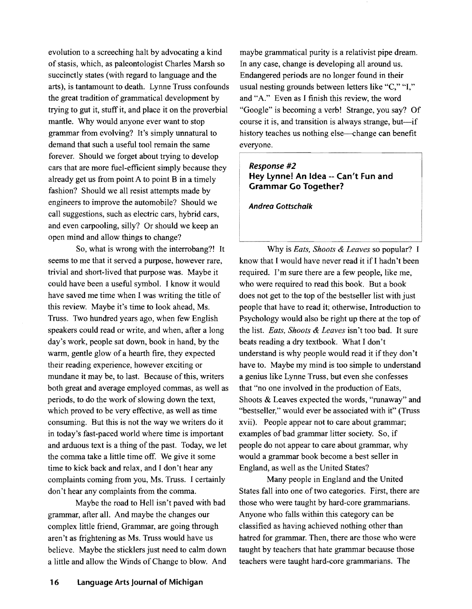evolution to a screeching halt by advocating a kind of stasis, which, as paleontologist Charles Marsh so succinctly states (with regard to language and the arts), is tantamount to death. Lynne Truss confounds the great tradition of grammatical development by trying to gut it, stuff it, and place it on the proverbial mantle. Why would anyone ever want to stop grammar from evolving? It's simply unnatural to demand that such a useful tool remain the same forever. Should we forget about trying to develop cars that are more fuel-efficient simply because they already get us from point A to point B in a timely fashion? Should we all resist attempts made by engineers to improve the automobile? Should we call suggestions, such as electric cars, hybrid cars, and even carpooling, silly? Or should we keep an open mind and allow things to change?

So, what is wrong with the interrobang?! It seems to me that it served a purpose, however rare, trivial and short-lived that purpose was. Maybe it could have been a useful symbol. I know it would have saved me time when I was writing the title of this review. Maybe it's time to look ahead, Ms. Truss. Two hundred years ago, when few English speakers could read or write, and when, after a long day's work, people sat down, book in hand, by the warm, gentle glow of a hearth fire, they expected their reading experience, however exciting or mundane it may be, to last. Because of this, writers both great and average employed commas, as well as periods, to do the work of slowing down the text, which proved to be very effective, as well as time consuming. But this is not the way we writers do it in today's fast-paced world where time is important and arduous text is a thing of the past. Today, we let the comma take a little time off. We give it some time to kick back and relax, and I don't hear any complaints coming from you, Ms. Truss. I certainly don't hear any complaints from the comma.

Maybe the road to Hell isn't paved with bad grammar, after all. And maybe the changes our complex little friend, Grammar, are going through aren't as frightening as Ms. Truss would have us believe. Maybe the sticklers just need to calm down a little and allow the Winds of Change to blow. And

maybe grammatical purity is a relativist pipe dream. In any case, change is developing all around us. Endangered periods are no longer found in their usual nesting grounds between letters like "C," "I," and "A." Even as I finish this review, the word "Google" is becoming a verb! Strange, you say? Of course it is, and transition is always strange, but—if history teaches us nothing else—change can benefit everyone.

## Response #2 Hey lynne! An Idea -- Can't Fun and Grammar Go Together?

Andrea Gottschalk

Why is *Eats, Shoots* & *Leaves* so popular? I know that I would have never read it if I hadn't been required. I'm sure there are a few people, like me, who were required to read this book. But a book does not get to the top of the bestseller list with just people that have to read it; otherwise, Introduction to Psychology would also be right up there at the top of the list. *Eats, Shoots* & *Leaves* isn't too bad. It sure beats reading a dry textbook. What I don't understand is why people would read it if they don't have to. Maybe my mind is too simple to understand a genius like Lynne Truss, but even she confesses that "no one involved in the production of Eats, Shoots & Leaves expected the words, "runaway" and "bestseller," would ever be associated with it" (Truss xvii). People appear not to care about grammar; examples of bad grammar litter society. So, if people do not appear to care about grammar, why would a grammar book become a best seller in England, as well as the United States?

Many people in England and the United States fall into one of two categories. First, there are those who were taught by hard-core grammarians. Anyone who falls within this category can be classified as having achieved nothing other than hatred for grammar. Then, there are those who were taught by teachers that hate grammar because those teachers were taught hard-core grammarians. The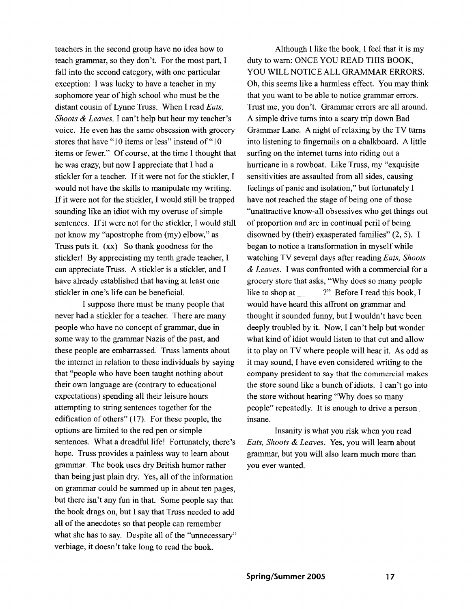teachers in the second group have no idea how to teach grammar, so they don't. For the most part, I fall into the second category, with one particular exception: I was lucky to have a teacher in my sophomore year of high school who must be the distant cousin of Lynne Truss. When I read *Eats, Shoots* & *Leaves,* I can't help but hear my teacher's voice. He even has the same obsession with grocery stores that have "10 items or less" instead of "10 items or fewer." Of course, at the time I thought that he was crazy, but now I appreciate that I had a stickler for a teacher. If it were not for the stickler, I would not have the skills to manipulate my writing. If it were not for the stickler, I would still be trapped sounding like an idiot with my overuse of simple sentences. If it were not for the stickler, I would still not know my "apostrophe from (my) elbow," as Truss puts it. (xx) So thank goodness for the stickler! By appreciating my tenth grade teacher, I can appreciate Truss. A stickler is a stickler, and I have already established that having at least one stickler in one's life can be beneficial.

I suppose there must be many people that never had a stickler for a teacher. There are many people who have no concept of grammar, due in some way to the grammar Nazis of the past, and these people are embarrassed. Truss laments about the internet in relation to these individuals by saying that "people who have been taught nothing about their own language are (contrary to educational expectations) spending all their leisure hours attempting to string sentences together for the edification of others" (17). For these people, the options are limited to the red pen or simple sentences. What a dreadful life! Fortunately, there's hope. Truss provides a painless way to learn about grammar. The book uses dry British humor rather than being just plain dry. Yes, all of the information on grammar could be summed up in about ten pages, but there isn't any fun in that. Some people say that the book drags on, but I say that Truss needed to add all of the anecdotes so that people can remember what she has to say. Despite all of the "unnecessary" verbiage, it doesn't take long to read the book.

Although I like the book, I feel that it is my duty to warn: ONCE YOU READ THIS BOOK, YOU WILL NOTICE ALL GRAMMAR ERRORS. Oh, this seems like a harmless effect. You may think that you want to be able to notice grammar errors. Trust me, you don't. Grammar errors are all around. A simple drive turns into a scary trip down Bad Grammar Lane. A night of relaxing by the TV turns into listening to fingernails on a chalkboard. A little surfing on the internet turns into riding out a hurricane in a rowboat. Like Truss, my "exquisite sensitivities are assaulted from all sides, causing feelings of panic and isolation," but fortunately I have not reached the stage of being one of those "unattractive know-all obsessives who get things out of proportion and are in continual peril of being disowned by (their) exasperated families" (2, 5). I began to notice a transformation in myself while watching TV several days after reading *Eats, Shoots*  & *Leaves.* I was confronted with a commercial for a grocery store that asks, "Why does so many people like to shop at  $\qquad$  ?" Before I read this book, I would have heard this affront on grammar and thought it sounded funny, but I wouldn't have been deeply troubled by it. Now, I can't help but wonder what kind of idiot would listen to that cut and allow it to play on TV where people will hear it. As odd as it may sound, I have even considered writing to the company president to say that the commercial makes the store sound like a bunch of idiots. I can't go into the store without hearing "Why does so many people" repeatedly. It is enough to drive a person. insane.

Insanity is what you risk when you read *Eats, Shoots* & *Leaves.* Yes, you will learn about grammar, but you will also learn much more than you ever wanted.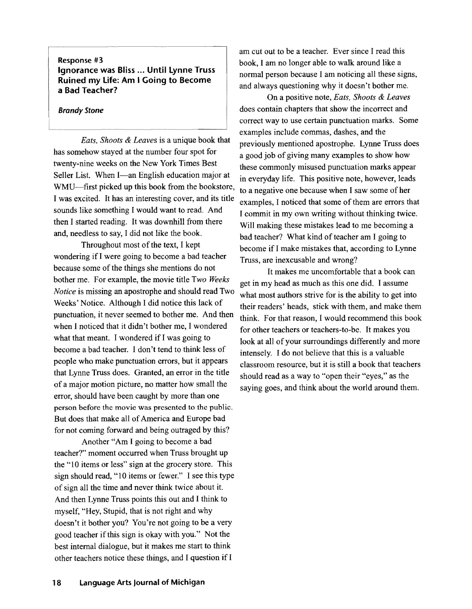### Response #3 Ignorance was Bliss ... Until lynne Truss Ruined my Life: Am I Going to Become a Bad Teacher?

#### Brandy Stone

*Eats, Shoots* & *Leaves* is a unique book that has somehow stayed at the number four spot for twenty-nine weeks on the New York Times Best Seller List. When I-an English education major at WMU-first picked up this book from the bookstore, I was excited. It has an interesting cover, and its title sounds like something I would want to read. And then I started reading. It was downhill from there and, needless to say, I did not like the book.

Throughout most of the text, I kept wondering if I were going to become a bad teacher because some of the things she mentions do not bother me. For example, the movie title *Two Weeks Notice* is missing an apostrophe and should read Two Weeks' Notice. Although I did notice this lack of punctuation, it never seemed to bother me. And then when I noticed that it didn't bother me, I wondered what that meant. I wondered if I was going to become a bad teacher. I don't tend to think less of people who make punctuation errors, but it appears that Lynne Truss does. Granted, an error in the title of a major motion picture, no matter how small the error, should have been caught by more than one person before the movie was presented to the public. But does that make all of America and Europe bad for not coming forward and being outraged by this?

Another "Am I going to become a bad teacher?" moment occurred when Truss brought up the "10 items or less" sign at the grocery store. This sign should read, "10 items or fewer." I see this type of sign all the time and never think twice about it. And then Lynne Truss points this out and I think to myself, "Hey, Stupid, that is not right and why doesn't it bother you? You're not going to be a very good teacher ifthis sign is okay with you." Not the best internal dialogue, but it makes me start to think other teachers notice these things, and I question if I

am cut out to be a teacher. Ever since I read this book, I am no longer able to walk around like a normal person because I am noticing all these signs, and always questioning why it doesn't bother me.

On a positive note, *Eats, Shoots* & *Leaves*  does contain chapters that show the incorrect and correct way to use certain punctuation marks. Some examples include commas, dashes, and the previously mentioned apostrophe. Lynne Truss does a good job of giving many examples to show how these commonly misused punctuation marks appear in everyday life. This positive note, however, leads to a negative one because when I saw some of her examples, I noticed that some of them are errors that I commit in my own writing without thinking twice. Will making these mistakes lead to me becoming a bad teacher? What kind of teacher am I going to become if I make mistakes that, according to Lynne Truss, are inexcusable and wrong?

It makes me uncomfortable that a book can get in my head as much as this one did. I assume what most authors strive for is the ability to get into their readers' heads, stick with them, and make them think. For that reason, I would recommend this book for other teachers or teachers-to-be. It makes you look at all of your surroundings differently and more intensely. I do not believe that this is a valuable classroom resource, but it is still a book that teachers should read as a way to "open their "eyes," as the saying goes, and think about the world around them.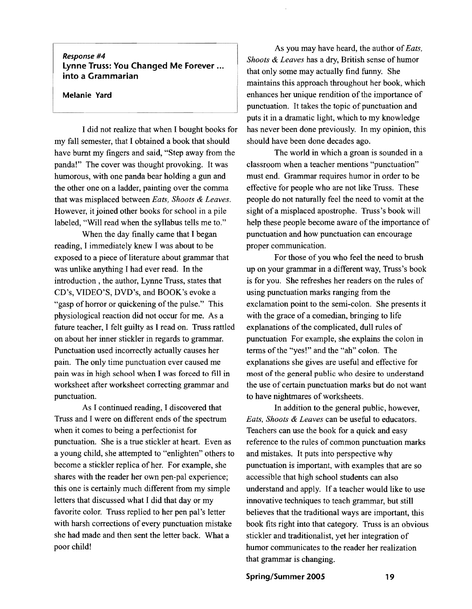# Response #4<br>Lynne Truss: You Changed Me Forever... **into a Grammarian**

#### **Melanie Yard**

I did not realize that when I bought books for my fall semester, that I obtained a book that should have burnt my fingers and said, "Step away from the panda!" The cover was thought provoking. It was humorous, with one panda bear holding a gun and the other one on a ladder, painting over the comma that was misplaced between *Eats, Shoots* & *Leaves.*  However, it joined other books for school in a pile labeled, "Will read when the syllabus tells me to."

When the day finally came that I began reading, I immediately knew I was about to be exposed to a piece of literature about grammar that was unlike anything I had ever read. In the introduction, the author, Lynne Truss, states that CD's, VIDEO'S, DVD's, and BOOK's evoke a "gasp of horror or quickening of the pulse." This physiological reaction did not occur for me. As a future teacher, I felt guilty as I read on. Truss rattled on about her inner stickler in regards to grammar. Punctuation used incorrectly actually causes her pain. The only time punctuation ever caused me pain was in high school when I was forced to fill in worksheet after worksheet correcting grammar and punctuation.

As I continued reading, I discovered that Truss and I were on different ends of the spectrum when it comes to being a perfectionist for punctuation. She is a true stickler at heart. Even as a young child, she attempted to "enlighten" others to become a stickler replica of her. For example, she shares with the reader her own pen-pal experience; this one is certainly much different from my simple letters that discussed what I did that day or my favorite color. Truss replied to her pen pal's letter with harsh corrections of every punctuation mistake she had made and then sent the letter back. What a poor child!

As you may have heard, the author of*Eats, Shoots* & *Leaves* has a dry, British sense of humor that only some may actually find funny. She maintains this approach throughout her book, which enhances her unique rendition of the importance of punctuation. It takes the topic of punctuation and puts it in a dramatic light, which to my knowledge has never been done previously. In my opinion, this should have been done decades ago.

The world in which a groan is sounded in a classroom when a teacher mentions "punctuation" must end. Grammar requires humor in order to be effective for people who are not like Truss. These people do not naturally feel the need to vomit at the sight of a misplaced apostrophe. Truss's book will help these people become aware of the importance of punctuation and how punctuation can encourage proper communication.

For those of you who feel the need to brush up on your grammar in a different way, Truss's book is for you. She refreshes her readers on the rules of using punctuation marks ranging from the exclamation point to the semi-colon. She presents it with the grace of a comedian, bringing to life explanations of the complicated, dull rules of punctuation For example, she explains the colon in terms of the "yes!" and the "ah" colon. The explanations she gives are useful and effective for most of the general public who desire to understand the use of certain punctuation marks but do not want to have nightmares of worksheets.

In addition to the general public, however, *Eats, Shoots* & *Leaves* can be useful to educators. Teachers can use the book for a quick and easy reference to the rules of common punctuation marks and mistakes. It puts into perspective why punctuation is important, with examples that are so accessible that high school students can also understand and apply. If a teacher would like to use innovative techniques to teach grammar, but still believes that the traditional ways are important, this book fits right into that category. Truss is an obvious stickler and traditionalist, yet her integration of humor communicates to the reader her realization that grammar is changing.

#### **Spring/Summer 2005 19**